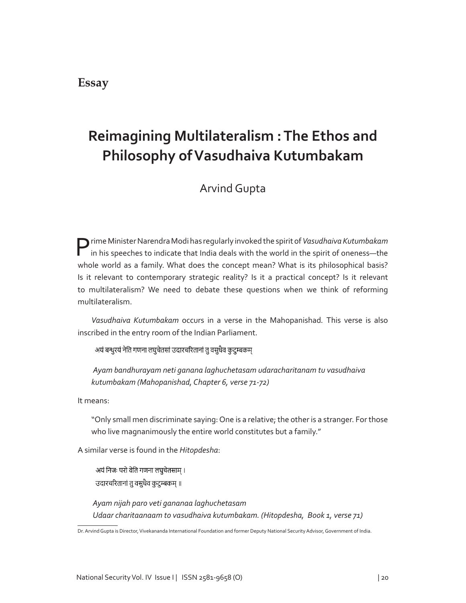## **Essay**

# **Reimagining Multilateralism : The Ethos and Philosophy of Vasudhaiva Kutumbakam**

Arvind Gupta

Prime Minister Narendra Modi has regularly invoked the spirit of *Vasudhaiva Kutumbakam* in his speeches to indicate that India deals with the world in the spirit of oneness—the whole world as a family. What does the concept mean? What is its philosophical basis? Is it relevant to contemporary strategic reality? Is it a practical concept? Is it relevant to multilateralism? We need to debate these questions when we think of reforming multilateralism.

*Vasudhaiva Kutumbakam* occurs in a verse in the Mahopanishad*.* This verse is also inscribed in the entry room of the Indian Parliament.

अयं बन्धुरयं नेति गणना लघुचेतसां उदारचरितानां तु वसुधैव कुटुम्बकम्

*Ayam bandhurayam neti ganana laghuchetasam udaracharitanam tu vasudhaiva kutumbakam (Mahopanishad, Chapter 6, verse 71-72)*

It means:

"Only small men discriminate saying: One is a relative; the other is a stranger. For those who live magnanimously the entire world constitutes but a family."

A similar verse is found in the *Hitopdesha*:

अयं निजः परो वेति गणना लघुचेतसाम् । उदारचरितानां तु वसुधैव कुटुम्बकम् ॥

*Ayam nijah paro veti gananaa laghuchetasam Udaar charitaanaam to vasudhaiva kutumbakam. (Hitopdesha, Book 1, verse 71)*

Dr. Arvind Gupta is Director, Vivekananda International Foundation and former Deputy National Security Advisor, Government of India.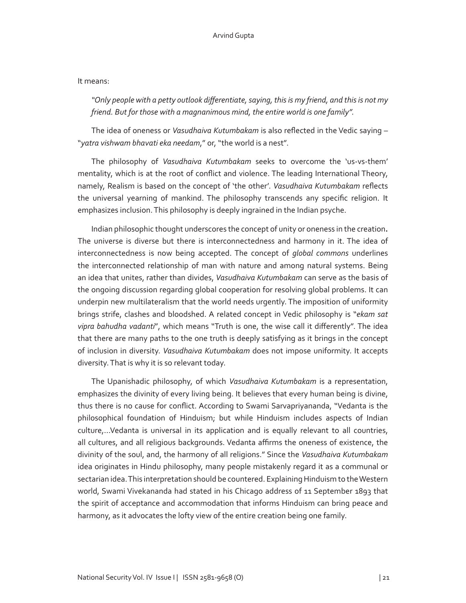### It means:

*"Only people with a petty outlook differentiate, saying, this is my friend, and this is not my friend. But for those with a magnanimous mind, the entire world is one family".* 

The idea of oneness or *Vasudhaiva Kutumbakam* is also reflected in the Vedic saying – "*yatra vishwam bhavati eka needam*," or, "the world is a nest".

The philosophy of *Vasudhaiva Kutumbakam* seeks to overcome the 'us-vs-them' mentality, which is at the root of conflict and violence. The leading International Theory, namely, Realism is based on the concept of 'the other'. *Vasudhaiva Kutumbakam* reflects the universal yearning of mankind. The philosophy transcends any specific religion. It emphasizes inclusion. This philosophy is deeply ingrained in the Indian psyche.

Indian philosophic thought underscores the concept of unity or oneness in the creation**.**  The universe is diverse but there is interconnectedness and harmony in it. The idea of interconnectedness is now being accepted. The concept of *global commons* underlines the interconnected relationship of man with nature and among natural systems. Being an idea that unites, rather than divides, *Vasudhaiva Kutumbakam* can serve as the basis of the ongoing discussion regarding global cooperation for resolving global problems. It can underpin new multilateralism that the world needs urgently. The imposition of uniformity brings strife, clashes and bloodshed. A related concept in Vedic philosophy is "*ekam sat vipra bahudha vadanti*", which means "Truth is one, the wise call it differently". The idea that there are many paths to the one truth is deeply satisfying as it brings in the concept of inclusion in diversity. *Vasudhaiva Kutumbakam* does not impose uniformity. It accepts diversity. That is why it is so relevant today.

The Upanishadic philosophy, of which *Vasudhaiva Kutumbakam* is a representation, emphasizes the divinity of every living being. It believes that every human being is divine, thus there is no cause for conflict. According to Swami Sarvapriyananda, "Vedanta is the philosophical foundation of Hinduism; but while Hinduism includes aspects of Indian culture,…Vedanta is universal in its application and is equally relevant to all countries, all cultures, and all religious backgrounds. Vedanta affirms the oneness of existence, the divinity of the soul, and, the harmony of all religions." Since the *Vasudhaiva Kutumbakam* idea originates in Hindu philosophy, many people mistakenly regard it as a communal or sectarian idea. This interpretation should be countered. Explaining Hinduism to the Western world, Swami Vivekananda had stated in his Chicago address of 11 September 1893 that the spirit of acceptance and accommodation that informs Hinduism can bring peace and harmony, as it advocates the lofty view of the entire creation being one family.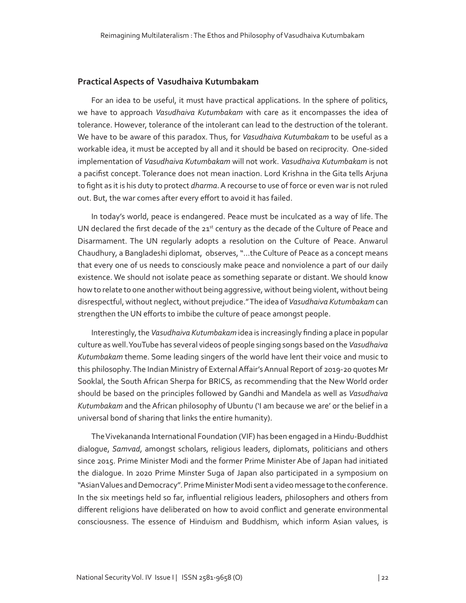#### **Practical Aspects of Vasudhaiva Kutumbakam**

For an idea to be useful, it must have practical applications. In the sphere of politics, we have to approach *Vasudhaiva Kutumbakam* with care as it encompasses the idea of tolerance. However, tolerance of the intolerant can lead to the destruction of the tolerant. We have to be aware of this paradox. Thus, for *Vasudhaiva Kutumbakam* to be useful as a workable idea, it must be accepted by all and it should be based on reciprocity. One-sided implementation of *Vasudhaiva Kutumbakam* will not work. *Vasudhaiva Kutumbakam* is not a pacifist concept. Tolerance does not mean inaction. Lord Krishna in the Gita tells Arjuna to fight as it is his duty to protect *dharma*. A recourse to use of force or even war is not ruled out. But, the war comes after every effort to avoid it has failed.

In today's world, peace is endangered. Peace must be inculcated as a way of life. The UN declared the first decade of the  $21<sup>st</sup>$  century as the decade of the Culture of Peace and Disarmament. The UN regularly adopts a resolution on the Culture of Peace. Anwarul Chaudhury, a Bangladeshi diplomat, observes, "…the Culture of Peace as a concept means that every one of us needs to consciously make peace and nonviolence a part of our daily existence. We should not isolate peace as something separate or distant. We should know how to relate to one another without being aggressive, without being violent, without being disrespectful, without neglect, without prejudice." The idea of *Vasudhaiva Kutumbakam* can strengthen the UN efforts to imbibe the culture of peace amongst people.

Interestingly, the *Vasudhaiva Kutumbakam* idea is increasingly finding a place in popular culture as well. YouTube has several videos of people singing songs based on the *Vasudhaiva Kutumbakam* theme. Some leading singers of the world have lent their voice and music to this philosophy. The Indian Ministry of External Affair's Annual Report of 2019-20 quotes Mr Sooklal, the South African Sherpa for BRICS, as recommending that the New World order should be based on the principles followed by Gandhi and Mandela as well as *Vasudhaiva Kutumbakam* and the African philosophy of Ubuntu ('I am because we are' or the belief in a universal bond of sharing that links the entire humanity).

The Vivekananda International Foundation (VIF) has been engaged in a Hindu-Buddhist dialogue, *Samvad*, amongst scholars, religious leaders, diplomats, politicians and others since 2015. Prime Minister Modi and the former Prime Minister Abe of Japan had initiated the dialogue. In 2020 Prime Minster Suga of Japan also participated in a symposium on "Asian Values and Democracy". Prime Minister Modi sent a video message to the conference. In the six meetings held so far, influential religious leaders, philosophers and others from different religions have deliberated on how to avoid conflict and generate environmental consciousness. The essence of Hinduism and Buddhism, which inform Asian values, is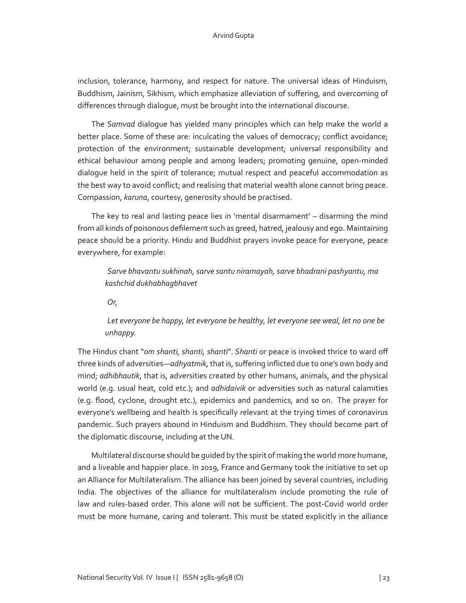### Arvind Gupta

inclusion, tolerance, harmony, and respect for nature. The universal ideas of Hinduism, Buddhism, Jainism, Sikhism, which emphasize alleviation of suffering, and overcoming of differences through dialogue, must be brought into the international discourse.

The *Samvad* dialogue has yielded many principles which can help make the world a better place. Some of these are: inculcating the values of democracy; conflict avoidance; protection of the environment; sustainable development; universal responsibility and ethical behaviour among people and among leaders; promoting genuine, open-minded dialogue held in the spirit of tolerance; mutual respect and peaceful accommodation as the best way to avoid conflict; and realising that material wealth alone cannot bring peace. Compassion, *karuna*, courtesy, generosity should be practised.

The key to real and lasting peace lies in 'mental disarmament' – disarming the mind from all kinds of poisonous defilement such as greed, hatred, jealousy and ego. Maintaining peace should be a priority. Hindu and Buddhist prayers invoke peace for everyone, peace everywhere, for example:

*Sarve bhavantu sukhinah, sarve santu niramayah, sarve bhadrani pashyantu, ma kashchid dukhabhagbhavet*

*Or,*

*Let everyone be happy, let everyone be healthy, let everyone see weal, let no one be unhappy.* 

The Hindus chant "*om shanti, shanti, shanti*". *Shanti* or peace is invoked thrice to ward off three kinds of adversities—*adhyatmik*, that is, suffering inflicted due to one's own body and mind; *adhibhautik*, that is, adversities created by other humans, animals, and the physical world (e.g. usual heat, cold etc.); and *adhidaivik* or adversities such as natural calamities (e.g. flood, cyclone, drought etc.), epidemics and pandemics, and so on. The prayer for everyone's wellbeing and health is specifically relevant at the trying times of coronavirus pandemic. Such prayers abound in Hinduism and Buddhism. They should become part of the diplomatic discourse, including at the UN.

Multilateral discourse should be guided by the spirit of making the world more humane, and a liveable and happier place. In 2019, France and Germany took the initiative to set up an Alliance for Multilateralism. The alliance has been joined by several countries, including India. The objectives of the alliance for multilateralism include promoting the rule of law and rules-based order. This alone will not be sufficient. The post-Covid world order must be more humane, caring and tolerant. This must be stated explicitly in the alliance